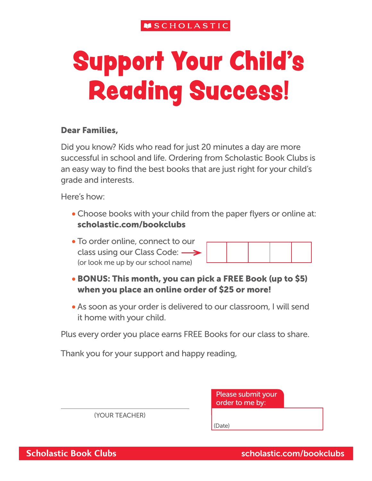# Support Your Child's Reading Success!

#### Dear Families,

Did you know? Kids who read for just 20 minutes a day are more successful in school and life. Ordering from Scholastic Book Clubs is an easy way to find the best books that are just right for your child's grade and interests.

Here's how:

- Choose books with your child from the paper flyers or online at: scholastic.com/bookclubs
- To order online, connect to our class using our Class Code:  $\longrightarrow$ (or look me up by our school name)

- BONUS: This month, you can pick a FREE Book (up to \$5) when you place an online order of \$25 or more!
- As soon as your order is delivered to our classroom, I will send it home with your child.

Plus every order you place earns FREE Books for our class to share.

Thank you for your support and happy reading,

|                | Please submit your<br>order to me by: |
|----------------|---------------------------------------|
| (YOUR TEACHER) |                                       |
|                | Date)                                 |

**Scholastic Book Clubs** Scholastic.com/bookclubs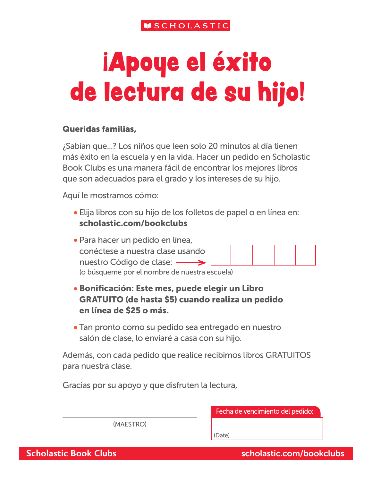# iApoye el éxito de lectura de su hijo!

### Queridas familias,

¿Sabían que...? Los niños que leen solo 20 minutos al día tienen más éxito en la escuela y en la vida. Hacer un pedido en Scholastic Book Clubs es una manera fácil de encontrar los mejores libros que son adecuados para el grado y los intereses de su hijo.

Aquí le mostramos cómo:

- Elija libros con su hijo de los folletos de papel o en línea en: scholastic.com/bookclubs
- Para hacer un pedido en línea, conéctese a nuestra clase usando nuestro Código de clase: (o búsqueme por el nombre de nuestra escuela)
- Bonificación: Este mes, puede elegir un Libro GRATUITO (de hasta \$5) cuando realiza un pedido en línea de \$25 o más.
- Tan pronto como su pedido sea entregado en nuestro salón de clase, lo enviaré a casa con su hijo.

Además, con cada pedido que realice recibimos libros GRATUITOS para nuestra clase.

Gracias por su apoyo y que disfruten la lectura,

Fecha de vencimiento del pedido:

(MAESTRO)

(Date)

**Scholastic Book Clubs** Scholastic.com/bookclubs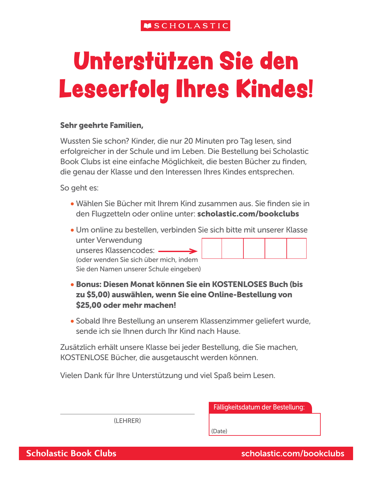## Unterstützen Sie den Leseerfolg Ihres Kindes!

#### Sehr geehrte Familien,

Wussten Sie schon? Kinder, die nur 20 Minuten pro Tag lesen, sind erfolgreicher in der Schule und im Leben. Die Bestellung bei Scholastic Book Clubs ist eine einfache Möglichkeit, die besten Bücher zu finden, die genau der Klasse und den Interessen Ihres Kindes entsprechen.

So geht es:

- Wählen Sie Bücher mit Ihrem Kind zusammen aus. Sie finden sie in den Flugzetteln oder online unter: scholastic.com/bookclubs
- Um online zu bestellen, verbinden Sie sich bitte mit unserer Klasse unter Verwendung unseres Klassencodes: (oder wenden Sie sich über mich, indem

Sie den Namen unserer Schule eingeben)

- Bonus: Diesen Monat können Sie ein KOSTENLOSES Buch (bis zu \$5,00) auswählen, wenn Sie eine Online-Bestellung von \$25,00 oder mehr machen!
- Sobald Ihre Bestellung an unserem Klassenzimmer geliefert wurde, sende ich sie Ihnen durch Ihr Kind nach Hause.

Zusätzlich erhält unsere Klasse bei jeder Bestellung, die Sie machen, KOSTENLOSE Bücher, die ausgetauscht werden können.

Vielen Dank für Ihre Unterstützung und viel Spaß beim Lesen.

Fälligkeitsdatum der Bestellung:

(LEHRER)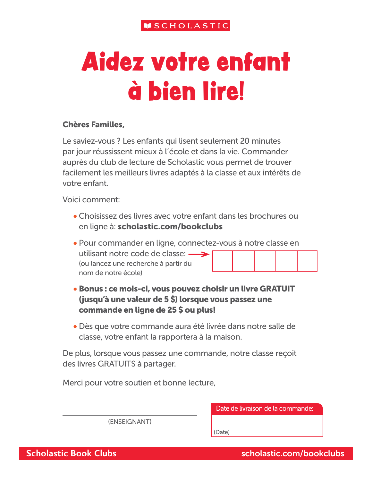## Aidez votre enfant à bien lire!

#### Chères Familles,

Le saviez-vous ? Les enfants qui lisent seulement 20 minutes par jour réussissent mieux à l'école et dans la vie. Commander auprès du club de lecture de Scholastic vous permet de trouver facilement les meilleurs livres adaptés à la classe et aux intérêts de votre enfant.

Voici comment:

- Choisissez des livres avec votre enfant dans les brochures ou en ligne à: scholastic.com/bookclubs
- Pour commander en ligne, connectez-vous à notre classe en utilisant notre code de classe:  $\longrightarrow$ (ou lancez une recherche à partir du nom de notre école)
- Bonus : ce mois-ci, vous pouvez choisir un livre GRATUIT (jusqu'à une valeur de 5 \$) lorsque vous passez une commande en ligne de 25 \$ ou plus!
- Dès que votre commande aura été livrée dans notre salle de classe, votre enfant la rapportera à la maison.

De plus, lorsque vous passez une commande, notre classe reçoit des livres GRATUITS à partager.

Merci pour votre soutien et bonne lecture,

Date de livraison de la commande:

(ENSEIGNANT)

(Date)

**Scholastic Book Clubs** Scholastic.com/bookclubs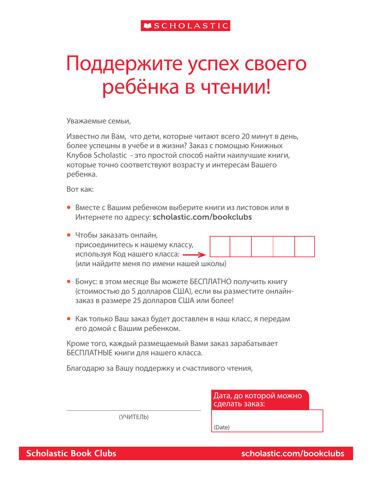### Поддержите успех своего ребёнка в чтении!

Уважаемые семьи,

Известно ли Вам, что дети, которые читают всего 20 минут в день, более успешны в учебе и в жизни? Заказ с помощью Книжных Клубов Scholastic - это простой способ найти наилучшие книги, которые точно соответствуют возрасту и интересам Вашего ребенка.

Вот как:

- Вместе с Вашим ребенком выберите книги из листовок или в Интернете по адресу: scholastic.com/bookclubs
- Чтобы заказать онлайн, присоединитесь к нашему классу, используя Код нашего класса: (или найдите меня по имени нашей школы)
- Бонус: в этом месяце Вы можете БЕСПЛАТНО получить книгу (стоимостью до 5 долларов США), если вы разместите онлайнзаказ в размере 25 долларов США или более!
- Как только Ваш заказ будет доставлен в наш класс, я передам его домой с Вашим ребенком.

Кроме того, каждый размещаемый Вами заказ зарабатывает БЕСПЛАТНЫЕ книги для нашего класса.

Благодарю за Вашу поддержку и счастливого чтения,

Дата, до которой можно сделать заказ:

(УЧИТЕЛЬ)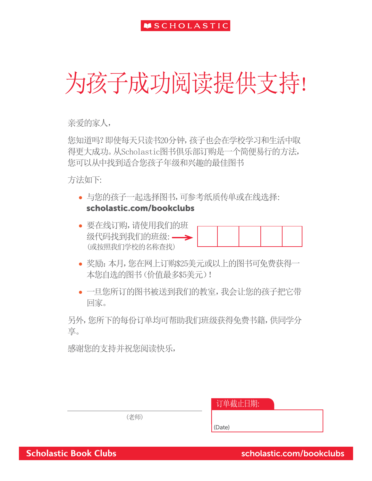### 为孩子成功阅读提供支持!

亲爱的家人,

您知道吗?即使每天只读书20分钟,孩子也会在学校学习和生活中取 得更大成功。从Scholastic图书俱乐部订购是一个简便易行的方法, 您可以从中找到适合您孩子年级和兴趣的最佳图书

方法如下:

- 与您的孩子一起选择图书,可参考纸质传单或在线选择: scholastic.com/bookclubs
- 要在线订购,请使用我们的班 级代码找到我们的班级: — > (或按照我们学校的名称查找)
- 奖励:本月,您在网上订购\$25美元或以上的图书可免费获得一 本您自选的图书(价值最多\$5美元)!
- 一旦您所订的图书被送到我们的教室,我会让您的孩子把它带 回家。

另外,您所下的每份订单均可帮助我们班级获得免费书籍,供同学分 享。

感谢您的支持并祝您阅读快乐,

| 订单截止日期: |  |  |
|---------|--|--|
|         |  |  |

(老师)